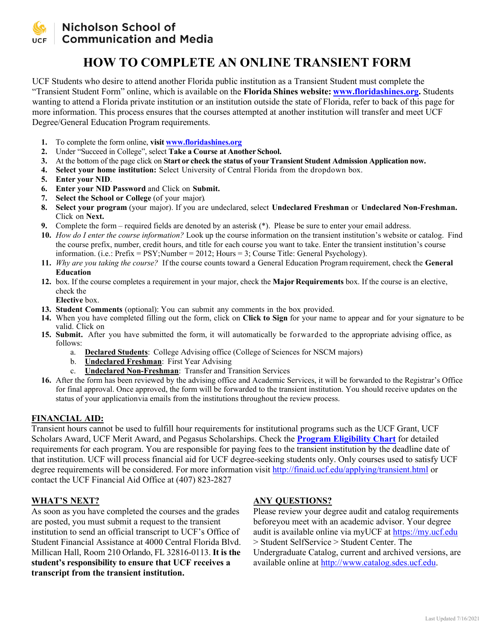

### Nicholson School of **Communication and Media**

## **HOW TO COMPLETE AN ONLINE TRANSIENT FORM**

UCF Students who desire to attend another Florida public institution as a Transient Student must complete the "Transient Student Form" online, which is available on the **Florida Shines website: [www.floridashines.org.](http://www.facts.org/)** Students wanting to attend a Florida private institution or an institution outside the state of Florida, refer to back of this page for more information. This process ensures that the courses attempted at another institution will transfer and meet UCF Degree/General Education Program requirements.

- **1.** To complete the form online, **visit [www.floridashines.org](http://www.floridashines.org/)**
- **2.** Under "Succeed in College", select **Take a Course at Another School.**
- **3.** At the bottom of the page click on **Start or check the status of yourTransient Student Admission Application now.**
- **4. Select your home institution:** Select University of Central Florida from the dropdown box.
- **5. Enter your NID**.
- **6. Enter your NID Password** and Click on **Submit.**
- **7. Select the School or College** (of your major).
- **8. Select your program** (your major). If you are undeclared, select **Undeclared Freshman** or **Undeclared Non-Freshman.** Click on **Next.**
- **9.** Complete the form required fields are denoted by an asterisk (\*). Please be sure to enter your email address.
- **10.** *How do I enter the course information?* Look up the course information on the transient institution's website or catalog. Find the course prefix, number, credit hours, and title for each course you want to take. Enter the transient institution's course information. (i.e.: Prefix =  $PSY$ ; Number = 2012; Hours = 3; Course Title: General Psychology).
- **11.** *Why are you taking the course?* If the course counts toward a General Education Program requirement, check the **General Education**
- **12.** box. If the course completes a requirement in your major, check the **Major Requirements** box. If the course is an elective, check the

**Elective** box.

- **13. Student Comments** (optional): You can submit any comments in the box provided.
- **14.** When you have completed filling out the form, click on **Click to Sign** for your name to appear and for your signature to be valid. Click on
- **15. Submit.** After you have submitted the form, it will automatically be forwarded to the appropriate advising office, as follows:
	- a. **Declared Students**: College Advising office (College of Sciences for NSCM majors)
	- b. **Undeclared Freshman**: First Year Advising
	- c. **Undeclared Non-Freshman**: Transfer and Transition Services
- **16.** After the form has been reviewed by the advising office and Academic Services, it will be forwarded to the Registrar's Office for final approval. Once approved, the form will be forwarded to the transient institution. You should receive updates on the status of your applicationvia emails from the institutions throughout the review process.

#### **FINANCIAL AID:**

Transient hours cannot be used to fulfill hour requirements for institutional programs such as the UCF Grant, UCF Scholars Award, UCF Merit Award, and Pegasus Scholarships. Check the **[Program Eligibility Chart](http://finaid.ucf.edu/receiving/pec.html)** for detailed requirements for each program. You are responsible for paying fees to the transient institution by the deadline date of that institution. UCF will process financial aid for UCF degree-seeking students only. Only courses used to satisfy UCF degree requirements will be considered. For more information visit<http://finaid.ucf.edu/applying/transient.html> or contact the UCF Financial Aid Office at (407) 823-2827

#### **WHAT'S NEXT?**

As soon as you have completed the courses and the grades are posted, you must submit a request to the transient institution to send an official transcript to UCF's Office of Student Financial Assistance at 4000 Central Florida Blvd. Millican Hall, Room 210 Orlando, FL 32816-0113. **It is the student's responsibility to ensure that UCF receives a transcript from the transient institution.**

#### **ANY QUESTIONS?**

Please review your degree audit and catalog requirements beforeyou meet with an academic advisor. Your degree audit is available online via myUCF at https://my.ucf.edu > Student SelfService > Student Center. The Undergraduate Catalog, current and archived versions, are available online at http:/[/www.catalog.sdes.ucf.edu.](http://www.catalog.sdes.ucf.edu/)